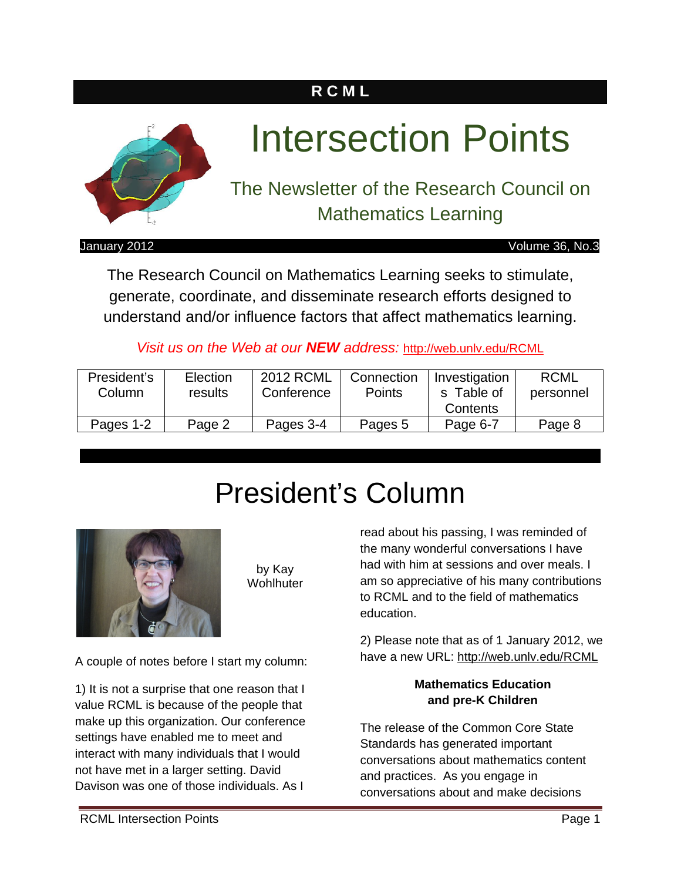# **R C M L**



# Intersection Points

The Newsletter of the Research Council on Mathematics Learning

January 2012 Volume 36, No.3

The Research Council on Mathematics Learning seeks to stimulate, generate, coordinate, and disseminate research efforts designed to understand and/or influence factors that affect mathematics learning.

*Visit us on the Web at our NEW address:* http://web.unlv.edu/RCML

| President's<br>Column | Election<br>results | 2012 RCML<br>Conference | Connection<br><b>Points</b> | Investigation<br>s Table of | <b>RCML</b><br>personnel |
|-----------------------|---------------------|-------------------------|-----------------------------|-----------------------------|--------------------------|
|                       |                     |                         |                             | Contents                    |                          |
| Pages 1-2             | Page 2              | Pages 3-4               | Pages 5                     | Page 6-7                    | Page 8                   |

# President's Column



by Kay **Wohlhuter** 

A couple of notes before I start my column:

1) It is not a surprise that one reason that I value RCML is because of the people that make up this organization. Our conference settings have enabled me to meet and interact with many individuals that I would not have met in a larger setting. David Davison was one of those individuals. As I

read about his passing, I was reminded of the many wonderful conversations I have had with him at sessions and over meals. I am so appreciative of his many contributions to RCML and to the field of mathematics education.

2) Please note that as of 1 January 2012, we have a new URL: http://web.unlv.edu/RCML

### **Mathematics Education and pre-K Children**

The release of the Common Core State Standards has generated important conversations about mathematics content and practices. As you engage in conversations about and make decisions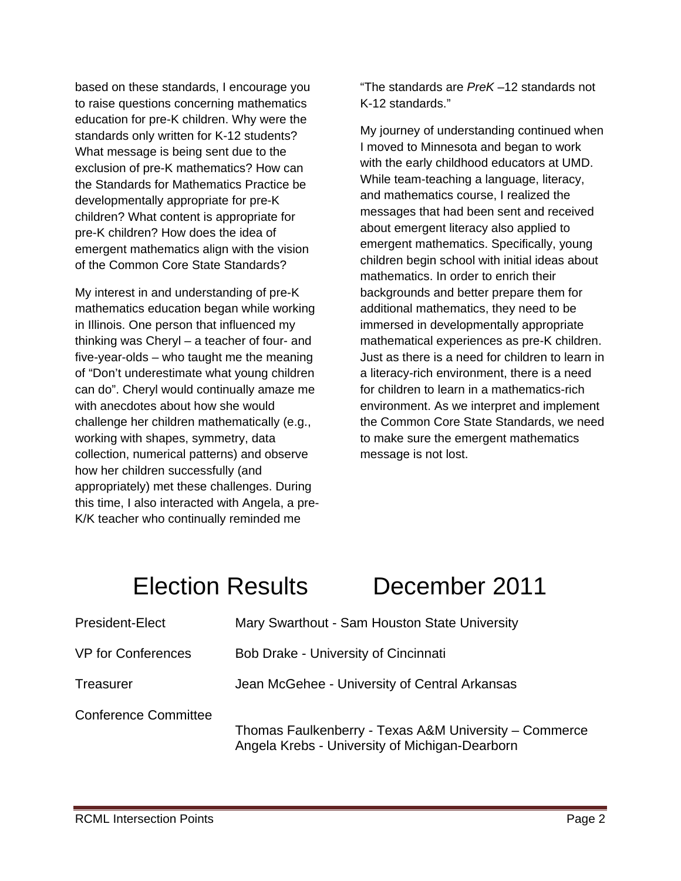based on these standards, I encourage you to raise questions concerning mathematics education for pre-K children. Why were the standards only written for K-12 students? What message is being sent due to the exclusion of pre-K mathematics? How can the Standards for Mathematics Practice be developmentally appropriate for pre-K children? What content is appropriate for pre-K children? How does the idea of emergent mathematics align with the vision of the Common Core State Standards?

My interest in and understanding of pre-K mathematics education began while working in Illinois. One person that influenced my thinking was Cheryl – a teacher of four- and five-year-olds – who taught me the meaning of "Don't underestimate what young children can do". Cheryl would continually amaze me with anecdotes about how she would challenge her children mathematically (e.g., working with shapes, symmetry, data collection, numerical patterns) and observe how her children successfully (and appropriately) met these challenges. During this time, I also interacted with Angela, a pre-K/K teacher who continually reminded me

"The standards are *PreK* –12 standards not K-12 standards."

My journey of understanding continued when I moved to Minnesota and began to work with the early childhood educators at UMD. While team-teaching a language, literacy, and mathematics course, I realized the messages that had been sent and received about emergent literacy also applied to emergent mathematics. Specifically, young children begin school with initial ideas about mathematics. In order to enrich their backgrounds and better prepare them for additional mathematics, they need to be immersed in developmentally appropriate mathematical experiences as pre-K children. Just as there is a need for children to learn in a literacy-rich environment, there is a need for children to learn in a mathematics-rich environment. As we interpret and implement the Common Core State Standards, we need to make sure the emergent mathematics message is not lost.

# Election Results December 2011

| <b>President-Elect</b>      | Mary Swarthout - Sam Houston State University                                                           |
|-----------------------------|---------------------------------------------------------------------------------------------------------|
| <b>VP for Conferences</b>   | Bob Drake - University of Cincinnati                                                                    |
| <b>Treasurer</b>            | Jean McGehee - University of Central Arkansas                                                           |
| <b>Conference Committee</b> | Thomas Faulkenberry - Texas A&M University – Commerce<br>Angela Krebs - University of Michigan-Dearborn |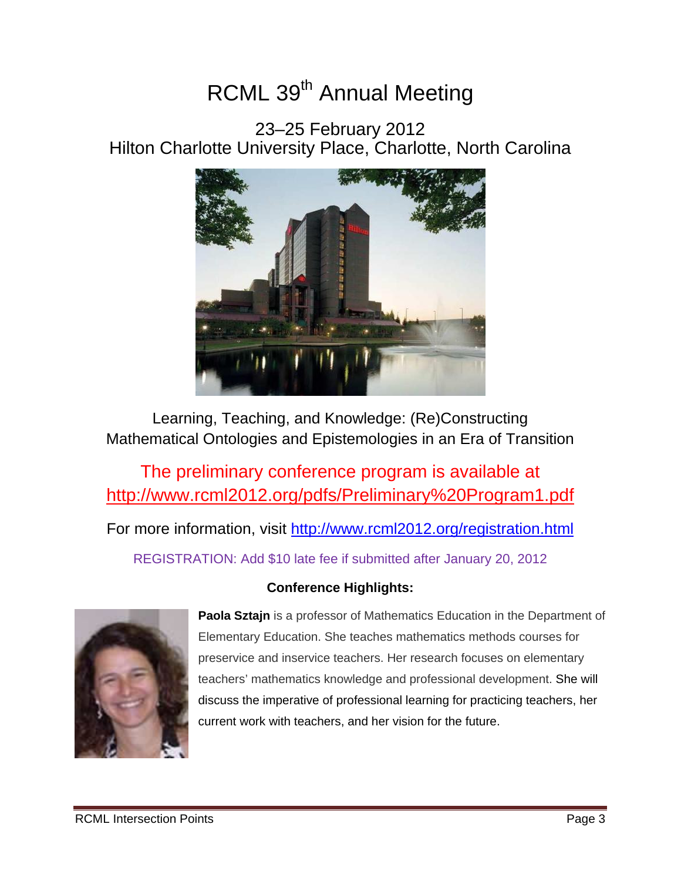# RCML 39<sup>th</sup> Annual Meeting

23–25 February 2012 Hilton Charlotte University Place, Charlotte, North Carolina



Learning, Teaching, and Knowledge: (Re)Constructing Mathematical Ontologies and Epistemologies in an Era of Transition

The preliminary conference program is available at http://www.rcml2012.org/pdfs/Preliminary%20Program1.pdf

For more information, visit http://www.rcml2012.org/registration.html

REGISTRATION: Add \$10 late fee if submitted after January 20, 2012

# **Conference Highlights:**



**Paola Sztajn** is a professor of Mathematics Education in the Department of Elementary Education. She teaches mathematics methods courses for preservice and inservice teachers. Her research focuses on elementary teachers' mathematics knowledge and professional development. She will discuss the imperative of professional learning for practicing teachers, her current work with teachers, and her vision for the future.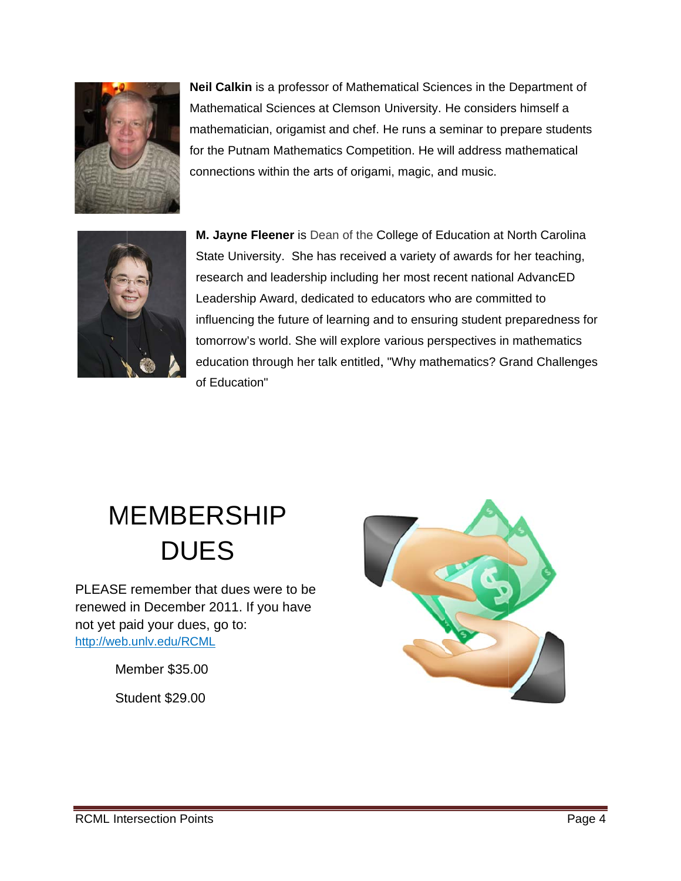

mathematician, origamist and chef. He runs a seminar to prepare students for the Putnam Mathematics Competition. He will address mathematical connections within the arts of origami, magic, and music. Neil Calkin is a professor of Mathematical Sciences in the Department of Mathematical Sciences at Clemson University. He considers himself a



**M. Jayne Fleener** is Dean of the College of Education at North Carolina State University. She has received a variety of awards for her teaching, research and leadership including her most recent national AdvancED Leadership Award, dedicated to educators who are committed to research and leadership including her most recent national AdvancED<br>Leadership Award, dedicated to educators who are committed to<br>influencing the future of learning and to ensuring student preparedness for tomorrow's world. She will explore various perspectives in mathematics education through her talk entitled, "Why mathematics? Grand Challenges of Education"

# MEMBERSHIP **DUES**

PLEASE remember that dues were to be renewed in Decemb ber 2011. If you have not yet paid your dues, go to: http://web.unlv.edu/RCML

Me ember \$35 .00

Student \$29.00

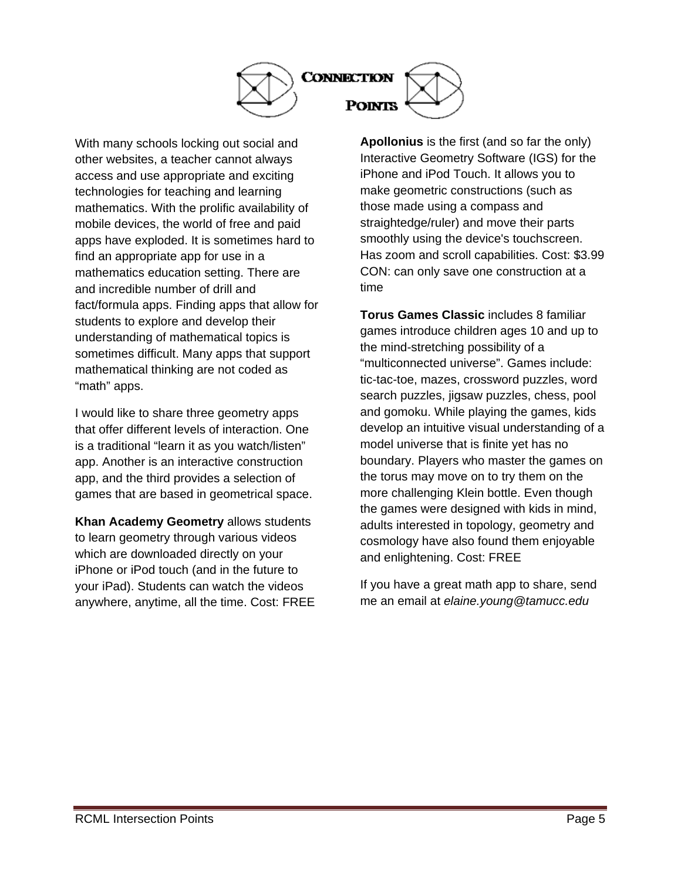

With many schools locking out social and other websites, a teacher cannot always access and use appropriate and exciting technologies for teaching and learning mathematics. With the prolific availability of mobile devices, the world of free and paid apps have exploded. It is sometimes hard to find an appropriate app for use in a mathematics education setting. There are and incredible number of drill and fact/formula apps. Finding apps that allow for students to explore and develop their understanding of mathematical topics is sometimes difficult. Many apps that support mathematical thinking are not coded as "math" apps.

I would like to share three geometry apps that offer different levels of interaction. One is a traditional "learn it as you watch/listen" app. Another is an interactive construction app, and the third provides a selection of games that are based in geometrical space.

**Khan Academy Geometry** allows students to learn geometry through various videos which are downloaded directly on your iPhone or iPod touch (and in the future to your iPad). Students can watch the videos anywhere, anytime, all the time. Cost: FREE **Apollonius** is the first (and so far the only) Interactive Geometry Software (IGS) for the iPhone and iPod Touch. It allows you to make geometric constructions (such as those made using a compass and straightedge/ruler) and move their parts smoothly using the device's touchscreen. Has zoom and scroll capabilities. Cost: \$3.99 CON: can only save one construction at a time

**Torus Games Classic** includes 8 familiar games introduce children ages 10 and up to the mind-stretching possibility of a "multiconnected universe". Games include: tic-tac-toe, mazes, crossword puzzles, word search puzzles, jigsaw puzzles, chess, pool and gomoku. While playing the games, kids develop an intuitive visual understanding of a model universe that is finite yet has no boundary. Players who master the games on the torus may move on to try them on the more challenging Klein bottle. Even though the games were designed with kids in mind, adults interested in topology, geometry and cosmology have also found them enjoyable and enlightening. Cost: FREE

If you have a great math app to share, send me an email at *elaine.young@tamucc.edu*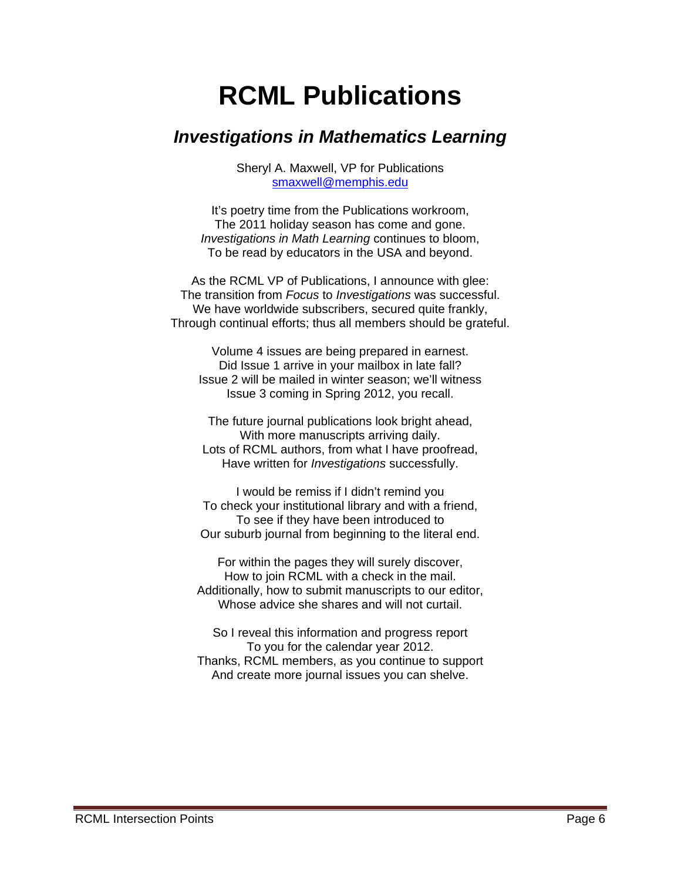# **RCML Publications**

# *Investigations in Mathematics Learning*

Sheryl A. Maxwell, VP for Publications smaxwell@memphis.edu

It's poetry time from the Publications workroom, The 2011 holiday season has come and gone. *Investigations in Math Learning* continues to bloom, To be read by educators in the USA and beyond.

As the RCML VP of Publications, I announce with glee: The transition from *Focus* to *Investigations* was successful. We have worldwide subscribers, secured quite frankly, Through continual efforts; thus all members should be grateful.

Volume 4 issues are being prepared in earnest. Did Issue 1 arrive in your mailbox in late fall? Issue 2 will be mailed in winter season; we'll witness Issue 3 coming in Spring 2012, you recall.

The future journal publications look bright ahead, With more manuscripts arriving daily. Lots of RCML authors, from what I have proofread, Have written for *Investigations* successfully.

I would be remiss if I didn't remind you To check your institutional library and with a friend, To see if they have been introduced to Our suburb journal from beginning to the literal end.

For within the pages they will surely discover, How to join RCML with a check in the mail. Additionally, how to submit manuscripts to our editor, Whose advice she shares and will not curtail.

So I reveal this information and progress report To you for the calendar year 2012. Thanks, RCML members, as you continue to support And create more journal issues you can shelve.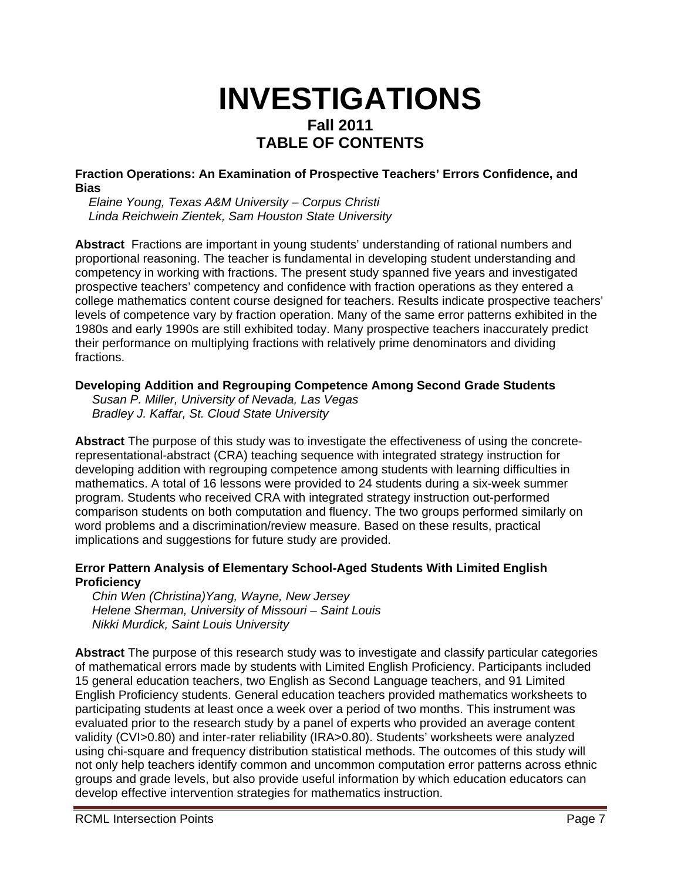# **INVESTIGATIONS Fall 2011 TABLE OF CONTENTS**

**Fraction Operations: An Examination of Prospective Teachers' Errors Confidence, and Bias** 

*Elaine Young, Texas A&M University – Corpus Christi Linda Reichwein Zientek, Sam Houston State University* 

**Abstract** Fractions are important in young students' understanding of rational numbers and proportional reasoning. The teacher is fundamental in developing student understanding and competency in working with fractions. The present study spanned five years and investigated prospective teachers' competency and confidence with fraction operations as they entered a college mathematics content course designed for teachers. Results indicate prospective teachers' levels of competence vary by fraction operation. Many of the same error patterns exhibited in the 1980s and early 1990s are still exhibited today. Many prospective teachers inaccurately predict their performance on multiplying fractions with relatively prime denominators and dividing fractions.

#### **Developing Addition and Regrouping Competence Among Second Grade Students**

*Susan P. Miller, University of Nevada, Las Vegas Bradley J. Kaffar, St. Cloud State University* 

**Abstract** The purpose of this study was to investigate the effectiveness of using the concreterepresentational-abstract (CRA) teaching sequence with integrated strategy instruction for developing addition with regrouping competence among students with learning difficulties in mathematics. A total of 16 lessons were provided to 24 students during a six-week summer program. Students who received CRA with integrated strategy instruction out-performed comparison students on both computation and fluency. The two groups performed similarly on word problems and a discrimination/review measure. Based on these results, practical implications and suggestions for future study are provided.

#### **Error Pattern Analysis of Elementary School-Aged Students With Limited English Proficiency**

*Chin Wen (Christina)Yang, Wayne, New Jersey Helene Sherman, University of Missouri – Saint Louis Nikki Murdick, Saint Louis University* 

**Abstract** The purpose of this research study was to investigate and classify particular categories of mathematical errors made by students with Limited English Proficiency. Participants included 15 general education teachers, two English as Second Language teachers, and 91 Limited English Proficiency students. General education teachers provided mathematics worksheets to participating students at least once a week over a period of two months. This instrument was evaluated prior to the research study by a panel of experts who provided an average content validity (CVI>0.80) and inter-rater reliability (IRA>0.80). Students' worksheets were analyzed using chi-square and frequency distribution statistical methods. The outcomes of this study will not only help teachers identify common and uncommon computation error patterns across ethnic groups and grade levels, but also provide useful information by which education educators can develop effective intervention strategies for mathematics instruction.